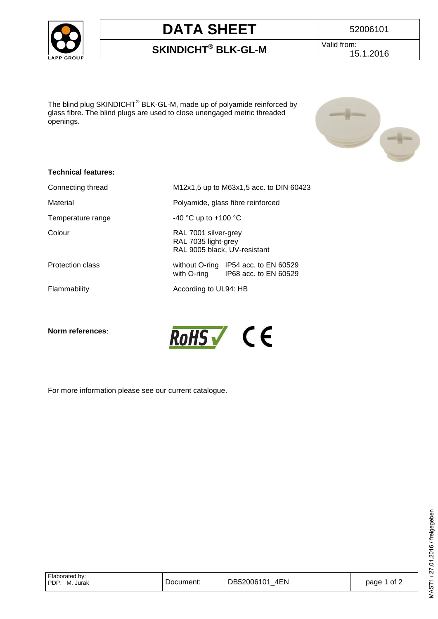

# **DATA SHEET** 52006101

### **SKINDICHT® BLK-GL-M**

Valid from: 15.1.2016

The blind plug SKINDICHT $^\circledast$  BLK-GL-M, made up of polyamide reinforced by glass fibre. The blind plugs are used to close unengaged metric threaded openings.



### **Technical features:**

| Connecting thread | M12x1,5 up to M63x1,5 acc. to DIN 60423                                      |  |  |
|-------------------|------------------------------------------------------------------------------|--|--|
| Material          | Polyamide, glass fibre reinforced                                            |  |  |
| Temperature range | -40 °C up to +100 °C                                                         |  |  |
| Colour            | RAL 7001 silver-grey<br>RAL 7035 light-grey<br>RAL 9005 black, UV-resistant  |  |  |
| Protection class  | without O-ring IP54 acc. to EN 60529<br>with O-ring<br>IP68 acc. to EN 60529 |  |  |
| Flammability      | According to UL94: HB                                                        |  |  |
|                   |                                                                              |  |  |

**Norm references**:



For more information please see our current catalogue.